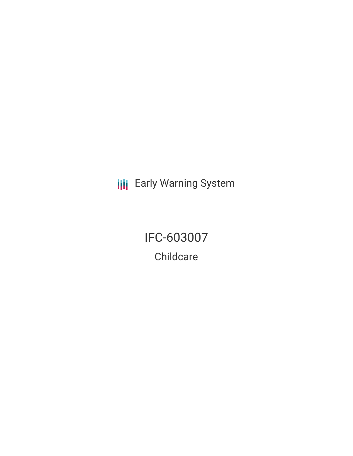**III** Early Warning System

IFC-603007 **Childcare**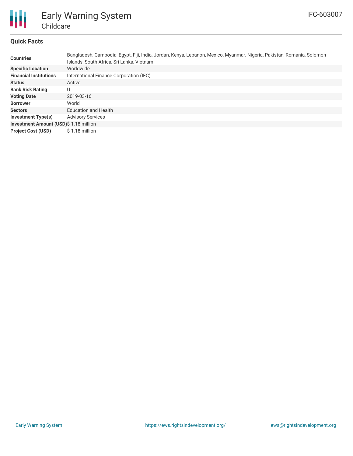

## **Quick Facts**

| <b>Countries</b>                       | Bangladesh, Cambodia, Egypt, Fiji, India, Jordan, Kenya, Lebanon, Mexico, Myanmar, Nigeria, Pakistan, Romania, Solomon<br>Islands, South Africa, Sri Lanka, Vietnam |
|----------------------------------------|---------------------------------------------------------------------------------------------------------------------------------------------------------------------|
| <b>Specific Location</b>               | Worldwide                                                                                                                                                           |
| <b>Financial Institutions</b>          | International Finance Corporation (IFC)                                                                                                                             |
| <b>Status</b>                          | Active                                                                                                                                                              |
| <b>Bank Risk Rating</b>                | U                                                                                                                                                                   |
| <b>Voting Date</b>                     | 2019-03-16                                                                                                                                                          |
| <b>Borrower</b>                        | World                                                                                                                                                               |
| <b>Sectors</b>                         | <b>Education and Health</b>                                                                                                                                         |
| <b>Investment Type(s)</b>              | <b>Advisory Services</b>                                                                                                                                            |
| Investment Amount (USD)\$ 1.18 million |                                                                                                                                                                     |
| <b>Project Cost (USD)</b>              | \$1.18 million                                                                                                                                                      |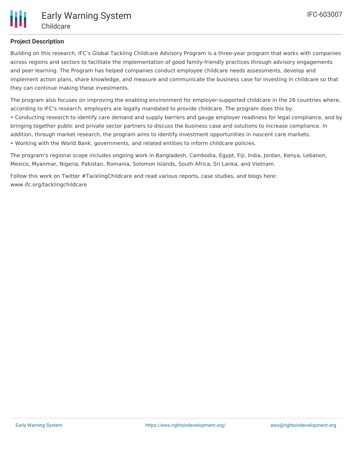## **Project Description**

Building on this research, IFC's Global Tackling Childcare Advisory Program is a three-year program that works with companies across regions and sectors to facilitate the implementation of good family-friendly practices through advisory engagements and peer learning. The Program has helped companies conduct employee childcare needs assessments, develop and implement action plans, share knowledge, and measure and communicate the business case for investing in childcare so that they can continue making these investments.

The program also focuses on improving the enabling environment for employer-supported childcare in the 26 countries where, according to IFC's research, employers are legally mandated to provide childcare. The program does this by:

• Conducting research to identify care demand and supply barriers and gauge employer readiness for legal compliance, and by bringing together public and private sector partners to discuss the business case and solutions to increase compliance. In addition, through market research, the program aims to identify investment opportunities in nascent care markets. • Working with the World Bank, governments, and related entities to inform childcare policies.

The program's regional scope includes ongoing work in Bangladesh, Cambodia, Egypt, Fiji, India, Jordan, Kenya, Lebanon, Mexico, Myanmar, Nigeria, Pakistan, Romania, Solomon Islands, South Africa, Sri Lanka, and Vietnam.

Follow this work on Twitter #TacklingChildcare and read various reports, case studies, and blogs here: www.ifc.org/tacklingchildcare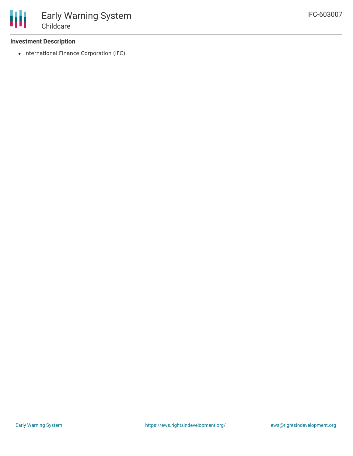## **Investment Description**

• International Finance Corporation (IFC)